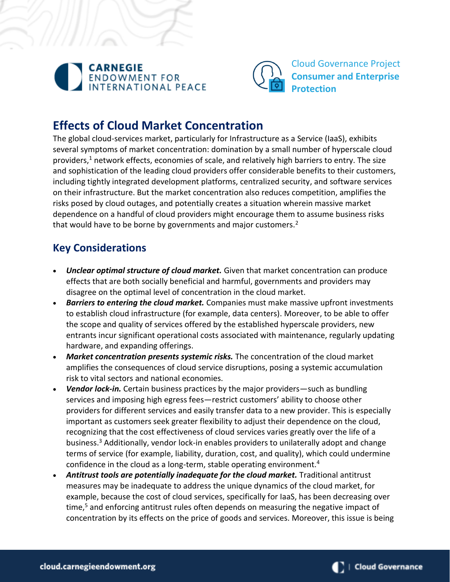



Cloud Governance Project **Consumer and Enterprise Protection**

# **Effects of Cloud Market Concentration**

The global cloud-services market, particularly for Infrastructure as a Service (IaaS), exhibits several symptoms of market concentration: domination by a small number of hyperscale cloud providers,<sup>1</sup> network effects, economies of scale, and relatively high barriers to entry. The size and sophistication of the leading cloud providers offer considerable benefits to their customers, including tightly integrated development platforms, centralized security, and software services on their infrastructure. But the market concentration also reduces competition, amplifies the risks posed by cloud outages, and potentially creates a situation wherein massive market dependence on a handful of cloud providers might encourage them to assume business risks that would have to be borne by governments and major customers.<sup>2</sup>

## **Key Considerations**

- *Unclear optimal structure of cloud market.* Given that market concentration can produce effects that are both socially beneficial and harmful, governments and providers may disagree on the optimal level of concentration in the cloud market.
- *Barriers to entering the cloud market.* Companies must make massive upfront investments to establish cloud infrastructure (for example, data centers). Moreover, to be able to offer the scope and quality of services offered by the established hyperscale providers, new entrants incur significant operational costs associated with maintenance, regularly updating hardware, and expanding offerings.
- *Market concentration presents systemic risks.* The concentration of the cloud market amplifies the consequences of cloud service disruptions, posing a systemic accumulation risk to vital sectors and national economies.
- *Vendor lock-in.* Certain business practices by the major providers—such as bundling services and imposing high egress fees—restrict customers' ability to choose other providers for different services and easily transfer data to a new provider. This is especially important as customers seek greater flexibility to adjust their dependence on the cloud, recognizing that the cost effectiveness of cloud services varies greatly over the life of a business.<sup>3</sup> Additionally, vendor lock-in enables providers to unilaterally adopt and change terms of service (for example, liability, duration, cost, and quality), which could undermine confidence in the cloud as a long-term, stable operating environment.<sup>4</sup>
- *Antitrust tools are potentially inadequate for the cloud market.* Traditional antitrust measures may be inadequate to address the unique dynamics of the cloud market, for example, because the cost of cloud services, specifically for IaaS, has been decreasing over time, $5$  and enforcing antitrust rules often depends on measuring the negative impact of concentration by its effects on the price of goods and services. Moreover, this issue is being

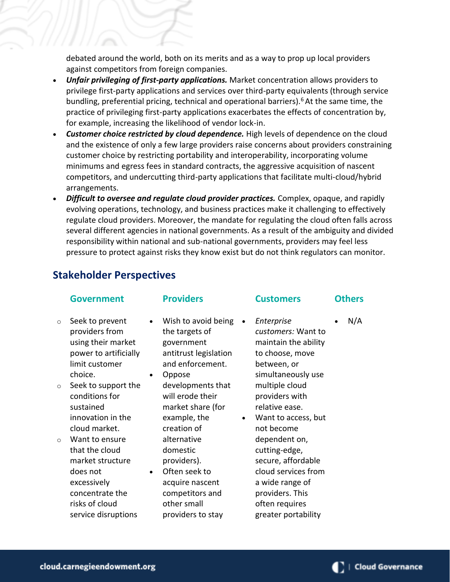debated around the world, both on its merits and as a way to prop up local providers against competitors from foreign companies.

- *Unfair privileging of first-party applications.* Market concentration allows providers to privilege first-party applications and services over third-party equivalents (through service bundling, preferential pricing, technical and operational barriers).<sup>6</sup> At the same time, the practice of privileging first-party applications exacerbates the effects of concentration by, for example, increasing the likelihood of vendor lock-in.
- *Customer choice restricted by cloud dependence.* High levels of dependence on the cloud and the existence of only a few large providers raise concerns about providers constraining customer choice by restricting portability and interoperability, incorporating volume minimums and egress fees in standard contracts, the aggressive acquisition of nascent competitors, and undercutting third-party applications that facilitate multi-cloud/hybrid arrangements.
- *Difficult to oversee and regulate cloud provider practices.* Complex, opaque, and rapidly evolving operations, technology, and business practices make it challenging to effectively regulate cloud providers. Moreover, the mandate for regulating the cloud often falls across several different agencies in national governments. As a result of the ambiguity and divided responsibility within national and sub-national governments, providers may feel less pressure to protect against risks they know exist but do not think regulators can monitor.

### **Stakeholder Perspectives**

#### **Government**

- o Seek to prevent providers from using their market power to artificially limit customer choice.
- o Seek to support the conditions for sustained innovation in the cloud market.
- o Want to ensure that the cloud market structure does not excessively concentrate the risks of cloud service disruptions

### **Providers**

- Wish to avoid being the targets of government antitrust legislation and enforcement.
- Oppose developments that will erode their market share (for example, the creation of alternative domestic providers).
- Often seek to acquire nascent competitors and other small providers to stay
- *Enterprise customers:* Want to maintain the ability to choose, move between, or simultaneously use multiple cloud providers with relative ease.
- Want to access, but not become dependent on, cutting-edge, secure, affordable cloud services from a wide range of providers. This often requires greater portability
- **Customers Others**
	- $N/A$

cloud.carnegieendowment.org

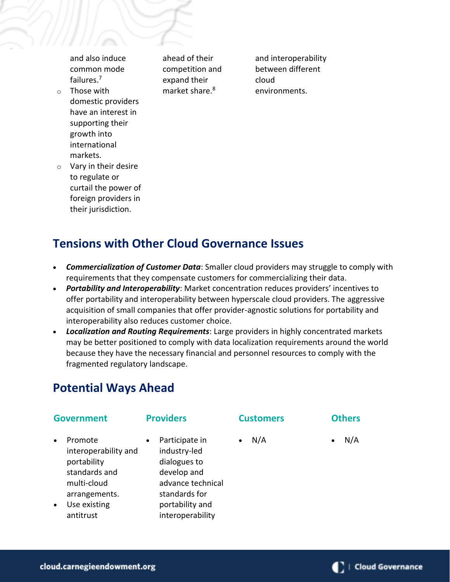and also induce common mode failures.<sup>7</sup>

o Those with domestic providers have an interest in supporting their growth into international markets.

ahead of their competition and expand their market share.<sup>8</sup>

and interoperability between different cloud environments.

o Vary in their desire to regulate or curtail the power of foreign providers in their jurisdiction.

# **Tensions with Other Cloud Governance Issues**

- *Commercialization of Customer Data*: Smaller cloud providers may struggle to comply with requirements that they compensate customers for commercializing their data.
- *Portability and Interoperability*: Market concentration reduces providers' incentives to offer portability and interoperability between hyperscale cloud providers. The aggressive acquisition of small companies that offer provider-agnostic solutions for portability and interoperability also reduces customer choice.
- *Localization and Routing Requirements*: Large providers in highly concentrated markets may be better positioned to comply with data localization requirements around the world because they have the necessary financial and personnel resources to comply with the fragmented regulatory landscape.

# **Potential Ways Ahead**

### **Government**

#### **Providers**

Participate in industry-led dialogues to develop and advance technical standards for portability and interoperability

#### **Customers**

### **Others**

 $N/A$ 

 $N/A$ 

- Promote interoperability and portability standards and multi-cloud arrangements.
- Use existing antitrust

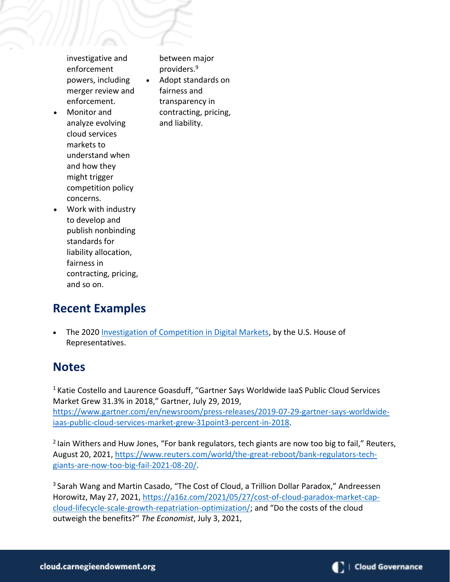investigative and enforcement powers, including merger review and enforcement.

between major providers.<sup>9</sup> • Adopt standards on fairness and transparency in contracting, pricing, and liability.

• Monitor and analyze evolving cloud services markets to understand when and how they might trigger competition policy concerns.

• Work with industry to develop and publish nonbinding standards for liability allocation, fairness in contracting, pricing, and so on.

## **Recent Examples**

• The 2020 [Investigation of Competition in Digital Markets,](https://judiciary.house.gov/uploadedfiles/competition_in_digital_markets.pdf?utm_campaign=4493-519) by the U.S. House of Representatives.

## **Notes**

<sup>1</sup> Katie Costello and Laurence Goasduff, "Gartner Says Worldwide IaaS Public Cloud Services Market Grew 31.3% in 2018," Gartner, July 29, 2019, [https://www.gartner.com/en/newsroom/press-releases/2019-07-29-gartner-says-worldwide](https://www.gartner.com/en/newsroom/press-releases/2019-07-29-gartner-says-worldwide-iaas-public-cloud-services-market-grew-31point3-percent-in-2018)[iaas-public-cloud-services-market-grew-31point3-percent-in-2018.](https://www.gartner.com/en/newsroom/press-releases/2019-07-29-gartner-says-worldwide-iaas-public-cloud-services-market-grew-31point3-percent-in-2018)

<sup>2</sup> Iain Withers and Huw Jones, "For bank regulators, tech giants are now too big to fail," Reuters, August 20, 2021, [https://www.reuters.com/world/the-great-reboot/bank-regulators-tech](https://www.reuters.com/world/the-great-reboot/bank-regulators-tech-giants-are-now-too-big-fail-2021-08-20/)[giants-are-now-too-big-fail-2021-08-20/.](https://www.reuters.com/world/the-great-reboot/bank-regulators-tech-giants-are-now-too-big-fail-2021-08-20/)

<sup>3</sup> Sarah Wang and Martin Casado, "The Cost of Cloud, a Trillion Dollar Paradox," Andreessen Horowitz, May 27, 2021, [https://a16z.com/2021/05/27/cost-of-cloud-paradox-market-cap](https://a16z.com/2021/05/27/cost-of-cloud-paradox-market-cap-cloud-lifecycle-scale-growth-repatriation-optimization/)[cloud-lifecycle-scale-growth-repatriation-optimization/](https://a16z.com/2021/05/27/cost-of-cloud-paradox-market-cap-cloud-lifecycle-scale-growth-repatriation-optimization/); and "Do the costs of the cloud outweigh the benefits?" *The Economist*, July 3, 2021,